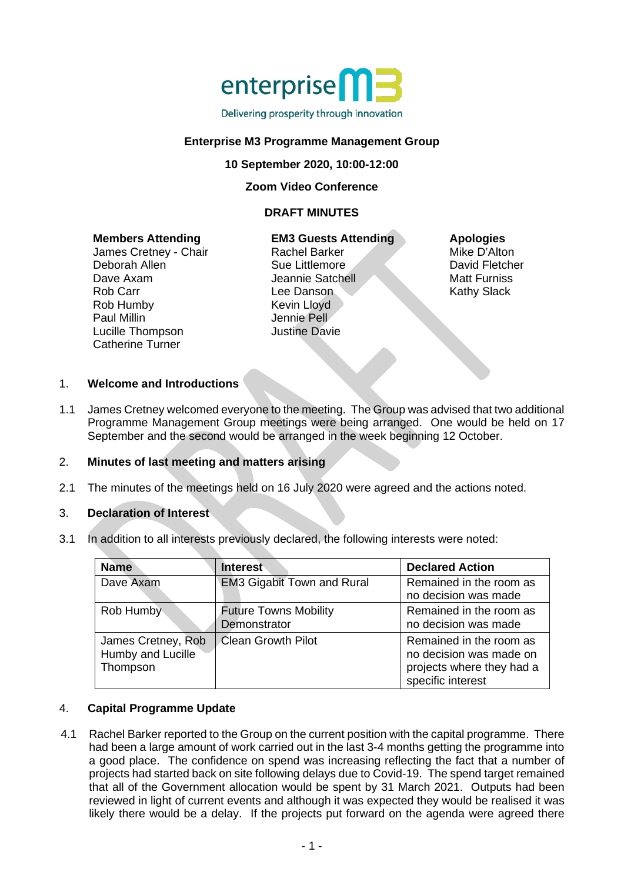

### Delivering prosperity through innovation

## **Enterprise M3 Programme Management Group**

**10 September 2020, 10:00-12:00**

**Zoom Video Conference**

#### **DRAFT MINUTES**

#### **Members Attending**

James Cretney - Chair Deborah Allen Dave Axam Rob Carr Rob Humby Paul Millin Lucille Thompson Catherine Turner

**EM3 Guests Attending** Rachel Barker Sue Littlemore Jeannie Satchell Lee Danson Kevin Lloyd Jennie Pell Justine Davie

#### **Apologies**

Mike D'Alton David Fletcher Matt Furniss Kathy Slack

## 1. **Welcome and Introductions**

1.1 James Cretney welcomed everyone to the meeting. The Group was advised that two additional Programme Management Group meetings were being arranged. One would be held on 17 September and the second would be arranged in the week beginning 12 October.

### 2. **Minutes of last meeting and matters arising**

2.1 The minutes of the meetings held on 16 July 2020 were agreed and the actions noted.

### 3. **Declaration of Interest**

3.1 In addition to all interests previously declared, the following interests were noted:

| <b>Name</b>                                         | <b>Interest</b>                              | <b>Declared Action</b>                                                                               |
|-----------------------------------------------------|----------------------------------------------|------------------------------------------------------------------------------------------------------|
| Dave Axam                                           | <b>EM3 Gigabit Town and Rural</b>            | Remained in the room as<br>no decision was made                                                      |
| Rob Humby                                           | <b>Future Towns Mobility</b><br>Demonstrator | Remained in the room as<br>no decision was made                                                      |
| James Cretney, Rob<br>Humby and Lucille<br>Thompson | <b>Clean Growth Pilot</b>                    | Remained in the room as<br>no decision was made on<br>projects where they had a<br>specific interest |

### 4. **Capital Programme Update**

4.1 Rachel Barker reported to the Group on the current position with the capital programme. There had been a large amount of work carried out in the last 3-4 months getting the programme into a good place. The confidence on spend was increasing reflecting the fact that a number of projects had started back on site following delays due to Covid-19. The spend target remained that all of the Government allocation would be spent by 31 March 2021. Outputs had been reviewed in light of current events and although it was expected they would be realised it was likely there would be a delay. If the projects put forward on the agenda were agreed there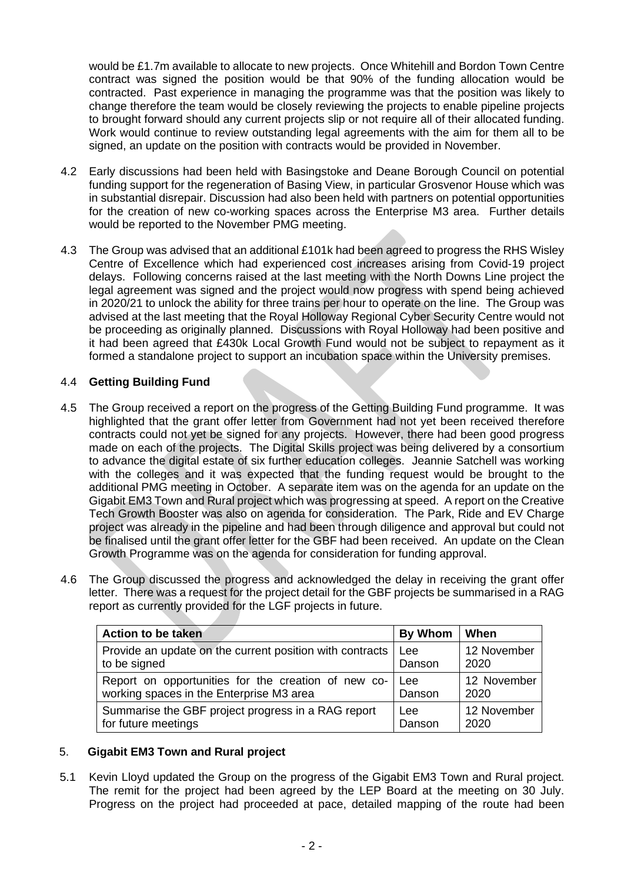would be £1.7m available to allocate to new projects. Once Whitehill and Bordon Town Centre contract was signed the position would be that 90% of the funding allocation would be contracted. Past experience in managing the programme was that the position was likely to change therefore the team would be closely reviewing the projects to enable pipeline projects to brought forward should any current projects slip or not require all of their allocated funding. Work would continue to review outstanding legal agreements with the aim for them all to be signed, an update on the position with contracts would be provided in November.

- 4.2 Early discussions had been held with Basingstoke and Deane Borough Council on potential funding support for the regeneration of Basing View, in particular Grosvenor House which was in substantial disrepair. Discussion had also been held with partners on potential opportunities for the creation of new co-working spaces across the Enterprise M3 area. Further details would be reported to the November PMG meeting.
- 4.3 The Group was advised that an additional £101k had been agreed to progress the RHS Wisley Centre of Excellence which had experienced cost increases arising from Covid-19 project delays. Following concerns raised at the last meeting with the North Downs Line project the legal agreement was signed and the project would now progress with spend being achieved in 2020/21 to unlock the ability for three trains per hour to operate on the line. The Group was advised at the last meeting that the Royal Holloway Regional Cyber Security Centre would not be proceeding as originally planned. Discussions with Royal Holloway had been positive and it had been agreed that £430k Local Growth Fund would not be subject to repayment as it formed a standalone project to support an incubation space within the University premises.

# 4.4 **Getting Building Fund**

- 4.5 The Group received a report on the progress of the Getting Building Fund programme. It was highlighted that the grant offer letter from Government had not yet been received therefore contracts could not yet be signed for any projects. However, there had been good progress made on each of the projects. The Digital Skills project was being delivered by a consortium to advance the digital estate of six further education colleges. Jeannie Satchell was working with the colleges and it was expected that the funding request would be brought to the additional PMG meeting in October. A separate item was on the agenda for an update on the Gigabit EM3 Town and Rural project which was progressing at speed. A report on the Creative Tech Growth Booster was also on agenda for consideration. The Park, Ride and EV Charge project was already in the pipeline and had been through diligence and approval but could not be finalised until the grant offer letter for the GBF had been received. An update on the Clean Growth Programme was on the agenda for consideration for funding approval.
- 4.6 The Group discussed the progress and acknowledged the delay in receiving the grant offer letter. There was a request for the project detail for the GBF projects be summarised in a RAG report as currently provided for the LGF projects in future.

| <b>Action to be taken</b>                                | By Whom | When        |
|----------------------------------------------------------|---------|-------------|
| Provide an update on the current position with contracts | Lee     | 12 November |
| to be signed                                             | Danson  | 2020        |
| Report on opportunities for the creation of new co-      | Lee     | 12 November |
| working spaces in the Enterprise M3 area                 | Danson  | 2020        |
| Summarise the GBF project progress in a RAG report       | Lee     | 12 November |
| for future meetings                                      | Danson  | 2020        |

# 5. **Gigabit EM3 Town and Rural project**

5.1 Kevin Lloyd updated the Group on the progress of the Gigabit EM3 Town and Rural project. The remit for the project had been agreed by the LEP Board at the meeting on 30 July. Progress on the project had proceeded at pace, detailed mapping of the route had been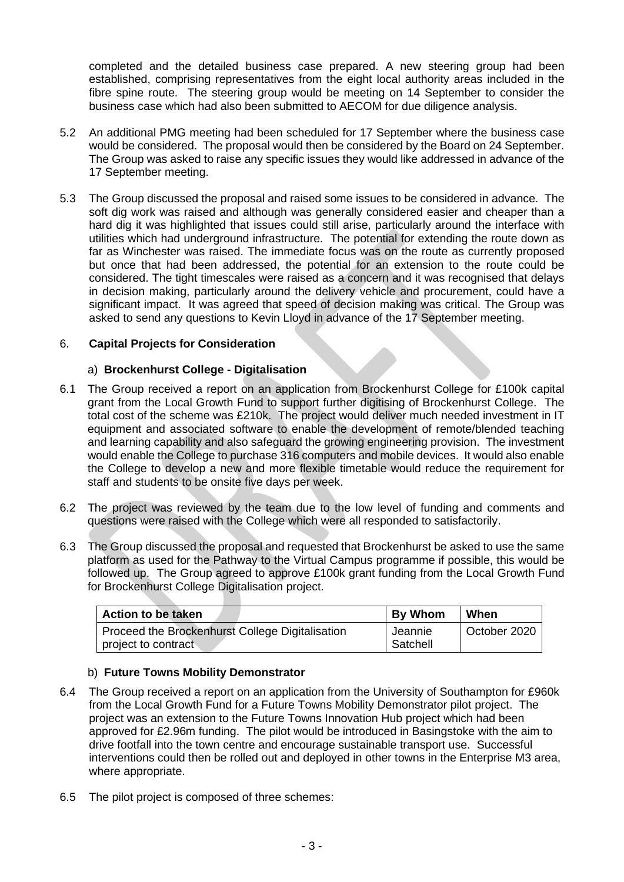completed and the detailed business case prepared. A new steering group had been established, comprising representatives from the eight local authority areas included in the fibre spine route. The steering group would be meeting on 14 September to consider the business case which had also been submitted to AECOM for due diligence analysis.

- 5.2 An additional PMG meeting had been scheduled for 17 September where the business case would be considered. The proposal would then be considered by the Board on 24 September. The Group was asked to raise any specific issues they would like addressed in advance of the 17 September meeting.
- 5.3 The Group discussed the proposal and raised some issues to be considered in advance. The soft dig work was raised and although was generally considered easier and cheaper than a hard dig it was highlighted that issues could still arise, particularly around the interface with utilities which had underground infrastructure. The potential for extending the route down as far as Winchester was raised. The immediate focus was on the route as currently proposed but once that had been addressed, the potential for an extension to the route could be considered. The tight timescales were raised as a concern and it was recognised that delays in decision making, particularly around the delivery vehicle and procurement, could have a significant impact. It was agreed that speed of decision making was critical. The Group was asked to send any questions to Kevin Lloyd in advance of the 17 September meeting.

# 6. **Capital Projects for Consideration**

# a) **Brockenhurst College - Digitalisation**

- 6.1 The Group received a report on an application from Brockenhurst College for £100k capital grant from the Local Growth Fund to support further digitising of Brockenhurst College. The total cost of the scheme was £210k. The project would deliver much needed investment in IT equipment and associated software to enable the development of remote/blended teaching and learning capability and also safeguard the growing engineering provision. The investment would enable the College to purchase 316 computers and mobile devices. It would also enable the College to develop a new and more flexible timetable would reduce the requirement for staff and students to be onsite five days per week.
- 6.2 The project was reviewed by the team due to the low level of funding and comments and questions were raised with the College which were all responded to satisfactorily.
- 6.3 The Group discussed the proposal and requested that Brockenhurst be asked to use the same platform as used for the Pathway to the Virtual Campus programme if possible, this would be followed up. The Group agreed to approve £100k grant funding from the Local Growth Fund for Brockenhurst College Digitalisation project.

| Action to be taken                                                     | <b>By Whom</b>      | When         |
|------------------------------------------------------------------------|---------------------|--------------|
| Proceed the Brockenhurst College Digitalisation<br>project to contract | Jeannie<br>Satchell | October 2020 |

# b) **Future Towns Mobility Demonstrator**

- 6.4 The Group received a report on an application from the University of Southampton for £960k from the Local Growth Fund for a Future Towns Mobility Demonstrator pilot project. The project was an extension to the Future Towns Innovation Hub project which had been approved for £2.96m funding. The pilot would be introduced in Basingstoke with the aim to drive footfall into the town centre and encourage sustainable transport use. Successful interventions could then be rolled out and deployed in other towns in the Enterprise M3 area, where appropriate.
- 6.5 The pilot project is composed of three schemes: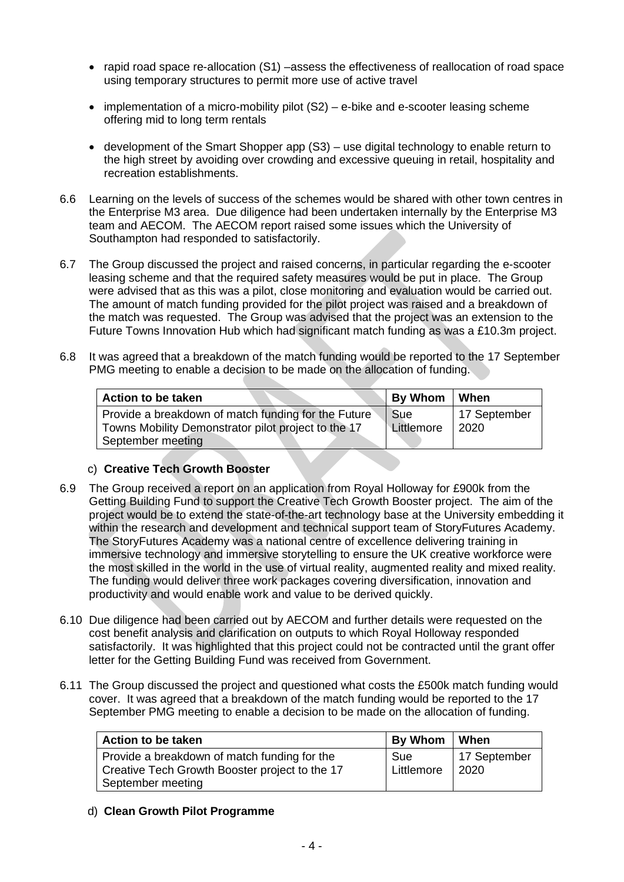- rapid road space re-allocation (S1) –assess the effectiveness of reallocation of road space using temporary structures to permit more use of active travel
- implementation of a micro-mobility pilot (S2) e-bike and e-scooter leasing scheme offering mid to long term rentals
- development of the Smart Shopper app (S3) use digital technology to enable return to the high street by avoiding over crowding and excessive queuing in retail, hospitality and recreation establishments.
- 6.6 Learning on the levels of success of the schemes would be shared with other town centres in the Enterprise M3 area. Due diligence had been undertaken internally by the Enterprise M3 team and AECOM. The AECOM report raised some issues which the University of Southampton had responded to satisfactorily.
- 6.7 The Group discussed the project and raised concerns, in particular regarding the e-scooter leasing scheme and that the required safety measures would be put in place. The Group were advised that as this was a pilot, close monitoring and evaluation would be carried out. The amount of match funding provided for the pilot project was raised and a breakdown of the match was requested. The Group was advised that the project was an extension to the Future Towns Innovation Hub which had significant match funding as was a £10.3m project.
- 6.8 It was agreed that a breakdown of the match funding would be reported to the 17 September PMG meeting to enable a decision to be made on the allocation of funding.

| Action to be taken                                                                                                              | By Whom                  | When                 |
|---------------------------------------------------------------------------------------------------------------------------------|--------------------------|----------------------|
| Provide a breakdown of match funding for the Future<br>Towns Mobility Demonstrator pilot project to the 17<br>September meeting | <b>Sue</b><br>Littlemore | 17 September<br>2020 |

## c) **Creative Tech Growth Booster**

- 6.9 The Group received a report on an application from Royal Holloway for £900k from the Getting Building Fund to support the Creative Tech Growth Booster project. The aim of the project would be to extend the state-of-the-art technology base at the University embedding it within the research and development and technical support team of StoryFutures Academy. The StoryFutures Academy was a national centre of excellence delivering training in immersive technology and immersive storytelling to ensure the UK creative workforce were the most skilled in the world in the use of virtual reality, augmented reality and mixed reality. The funding would deliver three work packages covering diversification, innovation and productivity and would enable work and value to be derived quickly.
- 6.10 Due diligence had been carried out by AECOM and further details were requested on the cost benefit analysis and clarification on outputs to which Royal Holloway responded satisfactorily. It was highlighted that this project could not be contracted until the grant offer letter for the Getting Building Fund was received from Government.
- 6.11 The Group discussed the project and questioned what costs the £500k match funding would cover. It was agreed that a breakdown of the match funding would be reported to the 17 September PMG meeting to enable a decision to be made on the allocation of funding.

| <b>Action to be taken</b>                                                                                           | By Whom           | When                 |
|---------------------------------------------------------------------------------------------------------------------|-------------------|----------------------|
| Provide a breakdown of match funding for the<br>Creative Tech Growth Booster project to the 17<br>September meeting | Sue<br>Littlemore | 17 September<br>2020 |

# d) **Clean Growth Pilot Programme**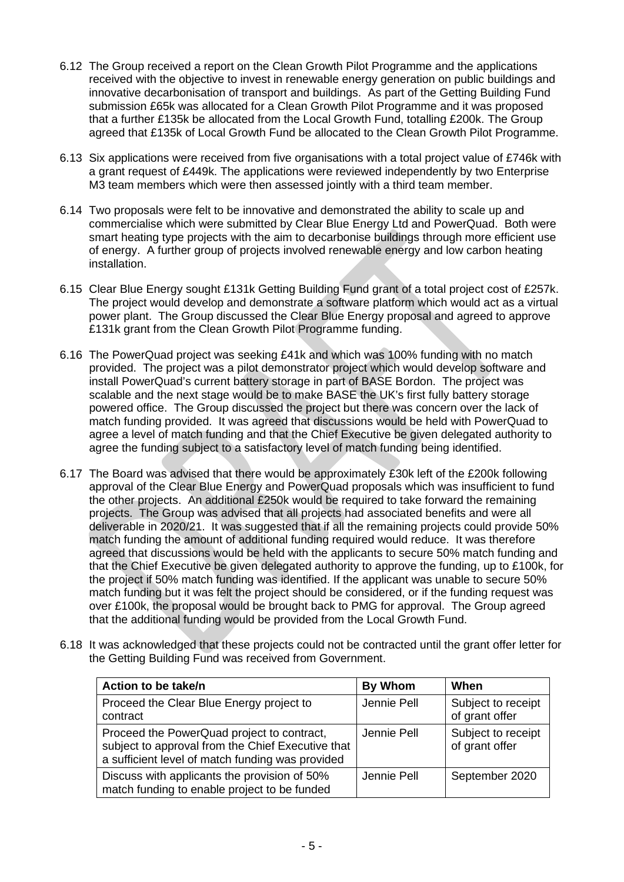- 6.12 The Group received a report on the Clean Growth Pilot Programme and the applications received with the objective to invest in renewable energy generation on public buildings and innovative decarbonisation of transport and buildings. As part of the Getting Building Fund submission £65k was allocated for a Clean Growth Pilot Programme and it was proposed that a further £135k be allocated from the Local Growth Fund, totalling £200k. The Group agreed that £135k of Local Growth Fund be allocated to the Clean Growth Pilot Programme.
- 6.13 Six applications were received from five organisations with a total project value of £746k with a grant request of £449k. The applications were reviewed independently by two Enterprise M3 team members which were then assessed jointly with a third team member.
- 6.14 Two proposals were felt to be innovative and demonstrated the ability to scale up and commercialise which were submitted by Clear Blue Energy Ltd and PowerQuad. Both were smart heating type projects with the aim to decarbonise buildings through more efficient use of energy. A further group of projects involved renewable energy and low carbon heating installation.
- 6.15 Clear Blue Energy sought £131k Getting Building Fund grant of a total project cost of £257k. The project would develop and demonstrate a software platform which would act as a virtual power plant. The Group discussed the Clear Blue Energy proposal and agreed to approve £131k grant from the Clean Growth Pilot Programme funding.
- 6.16 The PowerQuad project was seeking £41k and which was 100% funding with no match provided. The project was a pilot demonstrator project which would develop software and install PowerQuad's current battery storage in part of BASE Bordon. The project was scalable and the next stage would be to make BASE the UK's first fully battery storage powered office. The Group discussed the project but there was concern over the lack of match funding provided. It was agreed that discussions would be held with PowerQuad to agree a level of match funding and that the Chief Executive be given delegated authority to agree the funding subject to a satisfactory level of match funding being identified.
- 6.17 The Board was advised that there would be approximately £30k left of the £200k following approval of the Clear Blue Energy and PowerQuad proposals which was insufficient to fund the other projects. An additional £250k would be required to take forward the remaining projects. The Group was advised that all projects had associated benefits and were all deliverable in 2020/21. It was suggested that if all the remaining projects could provide 50% match funding the amount of additional funding required would reduce. It was therefore agreed that discussions would be held with the applicants to secure 50% match funding and that the Chief Executive be given delegated authority to approve the funding, up to £100k, for the project if 50% match funding was identified. If the applicant was unable to secure 50% match funding but it was felt the project should be considered, or if the funding request was over £100k, the proposal would be brought back to PMG for approval. The Group agreed that the additional funding would be provided from the Local Growth Fund.
- 6.18 It was acknowledged that these projects could not be contracted until the grant offer letter for the Getting Building Fund was received from Government.

| Action to be take/n                                                                                                                                 | <b>By Whom</b> | When                                 |
|-----------------------------------------------------------------------------------------------------------------------------------------------------|----------------|--------------------------------------|
| Proceed the Clear Blue Energy project to<br>contract                                                                                                | Jennie Pell    | Subject to receipt<br>of grant offer |
| Proceed the PowerQuad project to contract,<br>subject to approval from the Chief Executive that<br>a sufficient level of match funding was provided | Jennie Pell    | Subject to receipt<br>of grant offer |
| Discuss with applicants the provision of 50%<br>match funding to enable project to be funded                                                        | Jennie Pell    | September 2020                       |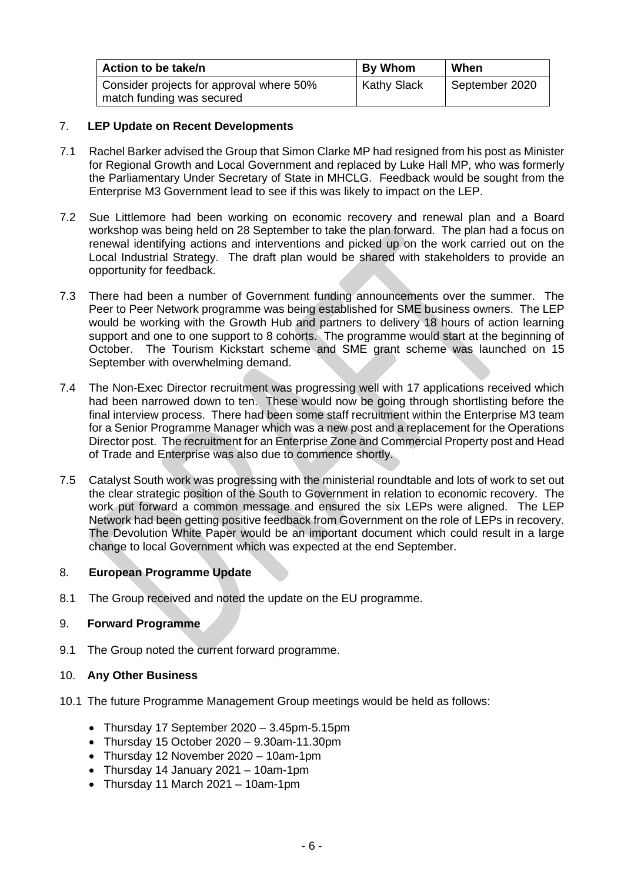| Action to be take/n                                                   | <b>By Whom</b>     | When           |
|-----------------------------------------------------------------------|--------------------|----------------|
| Consider projects for approval where 50%<br>match funding was secured | <b>Kathy Slack</b> | September 2020 |

# 7. **LEP Update on Recent Developments**

- 7.1 Rachel Barker advised the Group that Simon Clarke MP had resigned from his post as Minister for Regional Growth and Local Government and replaced by Luke Hall MP, who was formerly the Parliamentary Under Secretary of State in MHCLG. Feedback would be sought from the Enterprise M3 Government lead to see if this was likely to impact on the LEP.
- 7.2 Sue Littlemore had been working on economic recovery and renewal plan and a Board workshop was being held on 28 September to take the plan forward. The plan had a focus on renewal identifying actions and interventions and picked up on the work carried out on the Local Industrial Strategy. The draft plan would be shared with stakeholders to provide an opportunity for feedback.
- 7.3 There had been a number of Government funding announcements over the summer. The Peer to Peer Network programme was being established for SME business owners. The LEP would be working with the Growth Hub and partners to delivery 18 hours of action learning support and one to one support to 8 cohorts. The programme would start at the beginning of October. The Tourism Kickstart scheme and SME grant scheme was launched on 15 September with overwhelming demand.
- 7.4 The Non-Exec Director recruitment was progressing well with 17 applications received which had been narrowed down to ten. These would now be going through shortlisting before the final interview process. There had been some staff recruitment within the Enterprise M3 team for a Senior Programme Manager which was a new post and a replacement for the Operations Director post. The recruitment for an Enterprise Zone and Commercial Property post and Head of Trade and Enterprise was also due to commence shortly.
- 7.5 Catalyst South work was progressing with the ministerial roundtable and lots of work to set out the clear strategic position of the South to Government in relation to economic recovery. The work put forward a common message and ensured the six LEPs were aligned. The LEP Network had been getting positive feedback from Government on the role of LEPs in recovery. The Devolution White Paper would be an important document which could result in a large change to local Government which was expected at the end September.

## 8. **European Programme Update**

8.1 The Group received and noted the update on the EU programme.

## 9. **Forward Programme**

9.1 The Group noted the current forward programme.

## 10. **Any Other Business**

- 10.1 The future Programme Management Group meetings would be held as follows:
	- Thursday 17 September 2020 3.45pm-5.15pm
	- Thursday 15 October 2020 9.30am-11.30pm
	- Thursday 12 November 2020 10am-1pm
	- Thursday 14 January 2021 10am-1pm
	- Thursday 11 March  $2021 10$ am-1pm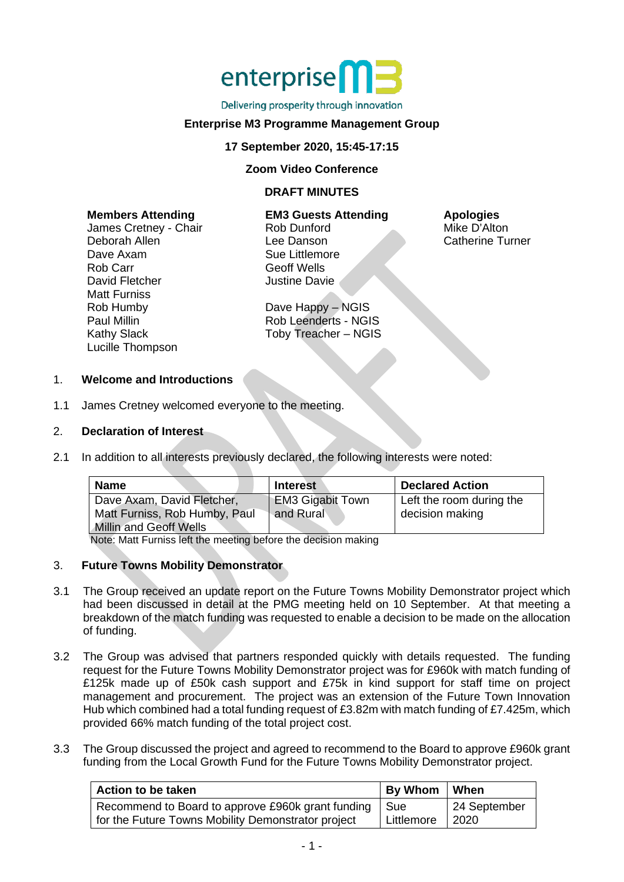

#### Delivering prosperity through innovation

## **Enterprise M3 Programme Management Group**

## **17 September 2020, 15:45-17:15**

### **Zoom Video Conference**

## **DRAFT MINUTES**

| <b>Members Attending</b> | <b>EM3 Guests Attending</b> | <b>Apologies</b>        |
|--------------------------|-----------------------------|-------------------------|
| James Cretney - Chair    | Rob Dunford                 | Mike D'Alton            |
| Deborah Allen            | Lee Danson                  | <b>Catherine Turner</b> |
| Dave Axam                | Sue Littlemore              |                         |
| Rob Carr                 | <b>Geoff Wells</b>          |                         |
| David Fletcher           | <b>Justine Davie</b>        |                         |
| <b>Matt Furniss</b>      |                             |                         |
| Rob Humby                | Dave Happy - NGIS           |                         |

Rob Leenderts - NGIS Toby Treacher – NGIS

#### 1. **Welcome and Introductions**

1.1 James Cretney welcomed everyone to the meeting.

## 2. **Declaration of Interest**

Paul Millin Kathy Slack Lucille Thompson

2.1 In addition to all interests previously declared, the following interests were noted:

| <b>Name</b>                                                                                  | <b>Interest</b>                      | <b>Declared Action</b>                      |
|----------------------------------------------------------------------------------------------|--------------------------------------|---------------------------------------------|
| Dave Axam, David Fletcher,<br>Matt Furniss, Rob Humby, Paul<br><b>Millin and Geoff Wells</b> | <b>EM3 Gigabit Town</b><br>and Rural | Left the room during the<br>decision making |

Note: Matt Furniss left the meeting before the decision making

### 3. **Future Towns Mobility Demonstrator**

- 3.1 The Group received an update report on the Future Towns Mobility Demonstrator project which had been discussed in detail at the PMG meeting held on 10 September. At that meeting a breakdown of the match funding was requested to enable a decision to be made on the allocation of funding.
- 3.2 The Group was advised that partners responded quickly with details requested. The funding request for the Future Towns Mobility Demonstrator project was for £960k with match funding of £125k made up of £50k cash support and £75k in kind support for staff time on project management and procurement. The project was an extension of the Future Town Innovation Hub which combined had a total funding request of £3.82m with match funding of £7.425m, which provided 66% match funding of the total project cost.
- 3.3 The Group discussed the project and agreed to recommend to the Board to approve £960k grant funding from the Local Growth Fund for the Future Towns Mobility Demonstrator project.

| Action to be taken                                 | By Whom    | <b>When</b>  |
|----------------------------------------------------|------------|--------------|
| Recommend to Board to approve £960k grant funding  | ∣ Sue      | 24 September |
| for the Future Towns Mobility Demonstrator project | Littlemore | 2020         |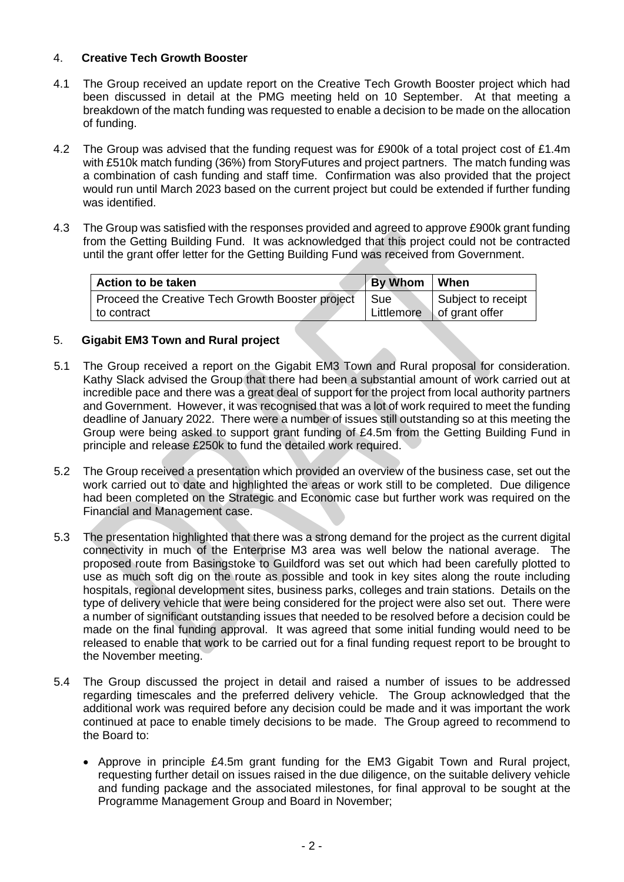# 4. **Creative Tech Growth Booster**

- 4.1 The Group received an update report on the Creative Tech Growth Booster project which had been discussed in detail at the PMG meeting held on 10 September. At that meeting a breakdown of the match funding was requested to enable a decision to be made on the allocation of funding.
- 4.2 The Group was advised that the funding request was for £900k of a total project cost of £1.4m with £510k match funding (36%) from StoryFutures and project partners. The match funding was a combination of cash funding and staff time. Confirmation was also provided that the project would run until March 2023 based on the current project but could be extended if further funding was identified.
- 4.3 The Group was satisfied with the responses provided and agreed to approve £900k grant funding from the Getting Building Fund. It was acknowledged that this project could not be contracted until the grant offer letter for the Getting Building Fund was received from Government.

| Action to be taken                               | <b>By Whom</b> | ∣ When                      |
|--------------------------------------------------|----------------|-----------------------------|
| Proceed the Creative Tech Growth Booster project | Sue            | Subject to receipt          |
| to contract                                      |                | Littlemore   of grant offer |

# 5. **Gigabit EM3 Town and Rural project**

- 5.1 The Group received a report on the Gigabit EM3 Town and Rural proposal for consideration. Kathy Slack advised the Group that there had been a substantial amount of work carried out at incredible pace and there was a great deal of support for the project from local authority partners and Government. However, it was recognised that was a lot of work required to meet the funding deadline of January 2022. There were a number of issues still outstanding so at this meeting the Group were being asked to support grant funding of £4.5m from the Getting Building Fund in principle and release £250k to fund the detailed work required.
- 5.2 The Group received a presentation which provided an overview of the business case, set out the work carried out to date and highlighted the areas or work still to be completed. Due diligence had been completed on the Strategic and Economic case but further work was required on the Financial and Management case.
- 5.3 The presentation highlighted that there was a strong demand for the project as the current digital connectivity in much of the Enterprise M3 area was well below the national average. The proposed route from Basingstoke to Guildford was set out which had been carefully plotted to use as much soft dig on the route as possible and took in key sites along the route including hospitals, regional development sites, business parks, colleges and train stations. Details on the type of delivery vehicle that were being considered for the project were also set out. There were a number of significant outstanding issues that needed to be resolved before a decision could be made on the final funding approval. It was agreed that some initial funding would need to be released to enable that work to be carried out for a final funding request report to be brought to the November meeting.
- 5.4 The Group discussed the project in detail and raised a number of issues to be addressed regarding timescales and the preferred delivery vehicle. The Group acknowledged that the additional work was required before any decision could be made and it was important the work continued at pace to enable timely decisions to be made. The Group agreed to recommend to the Board to:
	- Approve in principle £4.5m grant funding for the EM3 Gigabit Town and Rural project, requesting further detail on issues raised in the due diligence, on the suitable delivery vehicle and funding package and the associated milestones, for final approval to be sought at the Programme Management Group and Board in November;